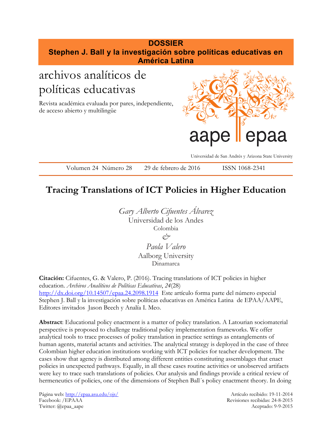### **DOSSIER Stephen J. Ball y la investigación sobre políticas educativas en América Latina** archivos analíticos de

# políticas educativas

Revista académica evaluada por pares, independiente, de acceso abierto y multilingüe



Universidad de San Andrés y Arizona State University

Volumen 24 Número 28 29 de febrero de 2016 ISSN 1068-2341

## **Tracing Translations of ICT Policies in Higher Education**

*Gary Alberto Cifuentes Álvarez* Universidad de los Andes Colombia *& Paola Valero* Aalborg University

Dinamarca

**Citación:** Cifuentes, G. & Valero, P. (2016). Tracing translations of ICT policies in higher education. *Archivos Analíticos de Políticas Educativas*, *24*(28) <http://dx.doi.org/10.14507/epaa.24.2098.1914> Este artículo forma parte del número especial Stephen J. Ball y la investigación sobre políticas educativas en América Latina de EPAA/AAPE, Editores invitados Jason Beech y Analía I. Meo.

**Abstract**: Educational policy enactment is a matter of policy translation. A Latourian sociomaterial perspective is proposed to challenge traditional policy implementation frameworks. We offer analytical tools to trace processes of policy translation in practice settings as entanglements of human agents, material actants and activities. The analytical strategy is deployed in the case of three Colombian higher education institutions working with ICT policies for teacher development. The cases show that agency is distributed among different entities constituting assemblages that enact policies in unexpected pathways. Equally, in all these cases routine activities or unobserved artifacts were key to trace such translations of policies. Our analysis and findings provide a critical review of hermeneutics of policies, one of the dimensions of Stephen Ball´s policy enactment theory. In doing

Página web[: http://epaa.asu.edu/ojs/](http://epaa.asu.edu/ojs/) Artículo recibido: 19-11-2014 Facebook: /EPAAA Revisiones recibidas: 24-8-2015 Twitter: @epaa\_aape Aceptado: 9-9-2015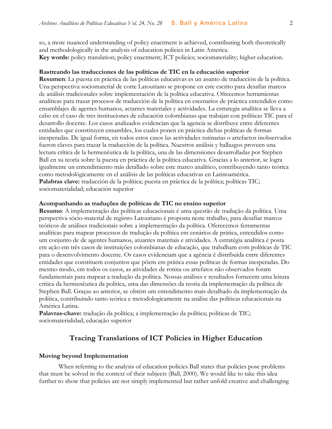so, a more nuanced understanding of policy enactment is achieved, contributing both theoretically and methodologically in the analysis of education policies in Latin America. **Key words:** policy translation; policy enactment; ICT policies; sociomateriality; higher education.

#### **Rastreando las traducciones de las políticas de TIC en la educación superior**

**Resumen**: La puesta en práctica de las políticas educativas es un asunto de traducción de la política. Una perspectiva sociomaterial de corte Latouriano se propone en este escrito para desafiar marcos de análisis tradicionales sobre implementación de la política educativa. Ofrecemos herramientas analíticas para trazar procesos de traducción de la política en escenarios de práctica entendidos como ensamblajes de agentes humanos, actantes materiales y actividades. La estrategia analítica se lleva a cabo en el caso de tres instituciones de educación colombianas que trabajan con políticas TIC para el desarrollo docente. Los casos analizados evidencian que la agencia se distribuye entre diferentes entidades que constituyen ensambles, los cuales ponen en práctica dichas políticas de formas inesperadas. De igual forma, en todos estos casos las actividades rutinarias o artefactos inobservados fueron claves para trazar la traducción de la política. Nuestros análisis y hallazgos proveen una lectura crítica de la hermenéutica de la política, una de las dimensiones desarrolladas por Stephen Ball en su teoría sobre la puesta en práctica de la política educativa. Gracias a lo anterior, se logra igualmente un entendimiento más detallado sobre este marco analítico, contribuyendo tanto teórica como metodológicamente en el análisis de las políticas educativas en Latinoamérica. Palabras clave: traducción de la política; puesta en práctica de la política; políticas TIC; sociomaterialidad; educación superior

#### **Acompanhando as traduções de políticas de TIC no ensino superior**

**Resumo**: A implementação das políticas educacionais é uma questão de tradução da política. Uma perspectiva sócio-material de registro Latouriano é proposta neste trabalho, para desafiar marcos teóricos de análises tradicionais sobre a implementação da política. Oferecemos ferramentas analíticas para mapear processos de tradução da política em cenários de prática, entendidos como um conjunto de de agentes humanos, atuantes materiais e atividades. A estratégia analítica é posta em ação em três casos de instituições colombianas de educação, que trabalham com políticas de TIC para o desenvolvimento docente. Os casos evidenciam que a agência é distribuída entre diferentes entidades que constituem conjuntos que põem em prática essas políticas de formas inesperadas. Do mesmo modo, em todos os casos, as atividades de rotina ou artefatos não observados foram fundamentais para mapear a tradução da política. Nossas análises e resultados fornecem uma leitura crítica da hermenêutica da política, uma das dimensões da teoria da implementação da política de Stephen Ball. Graças ao anterior, se obtém um entendimento mais detalhado da implementação da política, contribuindo tanto teórica e metodologicamente na análise das políticas educacionais na América Latina.

**Palavras-chave:** tradução da política; a implementação da política; políticas de TIC; sociomaterialidad; educação superior

#### **Tracing Translations of ICT Policies in Higher Education**

#### **Moving beyond Implementation**

When referring to the analysis of education policies Ball states that policies pose problems that must be solved in the context of their subjects (Ball, 2000). We would like to take this idea further to show that policies are not simply implemented but rather unfold creative and challenging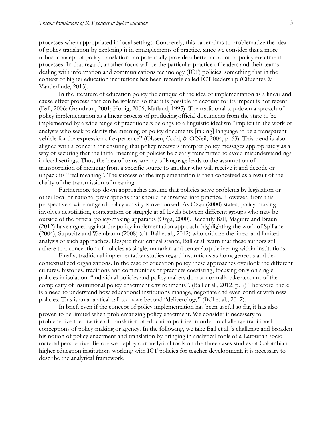processes when appropriated in local settings. Concretely, this paper aims to problematize the idea of policy translation by exploring it in entanglements of practice, since we consider that a more robust concept of policy translation can potentially provide a better account of policy enactment processes. In that regard, another focus will be the particular practice of leaders and their teams dealing with information and communications technology (ICT) policies, something that in the context of higher education institutions has been recently called ICT leadership (Cifuentes & Vanderlinde, 2015).

In the literature of education policy the critique of the idea of implementation as a linear and cause-effect process that can be isolated so that it is possible to account for its impact is not recent (Ball, 2006; Grantham, 2001; Honig, 2006; Matland, 1995). The traditional top-down approach of policy implementation as a linear process of producing official documents from the state to be implemented by a wide range of practitioners belongs to a linguistic idealism "implicit in the work of analysts who seek to clarify the meaning of policy documents [taking] language to be a transparent vehicle for the expression of experience" (Olssen, Codd, & O'Neil, 2004, p. 63). This trend is also aligned with a concern for ensuring that policy receivers interpret policy messages appropriately as a way of securing that the initial meaning of policies be clearly transmitted to avoid misunderstandings in local settings. Thus, the idea of transparency of language leads to the assumption of transportation of meaning from a specific source to another who will receive it and decode or unpack its "real meaning". The success of the implementation is then conceived as a result of the clarity of the transmission of meaning.

Furthermore top-down approaches assume that policies solve problems by legislation or other local or national prescriptions that should be inserted into practice. However, from this perspective a wide range of policy activity is overlooked. As Ozga (2000) states, policy-making involves negotiation, contestation or struggle at all levels between different groups who may be outside of the official policy-making apparatus (Ozga, 2000). Recently Ball, Maguire and Braun (2012) have argued against the policy implementation approach, highlighting the work of Spillane (2004), Supovitz and Weinbaum (2008) (cit. Ball et al., 2012) who criticize the linear and limited analysis of such approaches. Despite their critical stance, Ball et al. warn that these authors still adhere to a conception of policies as single, unitarian and center/top delivering within institutions.

Finally, traditional implementation studies regard institutions as homogeneous and decontextualized organizations. In the case of education policy these approaches overlook the different cultures, histories, traditions and communities of practices coexisting, focusing only on single policies in isolation: "individual policies and policy makers do not normally take account of the complexity of institutional policy enactment environments". (Ball et al., 2012, p. 9) Therefore, there is a need to understand how educational institutions manage, negotiate and even conflict with new policies. This is an analytical call to move beyond "deliverology" (Ball et al., 2012).

In brief, even if the concept of policy implementation has been useful so far, it has also proven to be limited when problematizing policy enactment. We consider it necessary to problematize the practice of translation of education policies in order to challenge traditional conceptions of policy-making or agency. In the following, we take Ball et al.´s challenge and broaden his notion of policy enactment and translation by bringing in analytical tools of a Latourian sociomaterial perspective. Before we deploy our analytical tools on the three cases studies of Colombian higher education institutions working with ICT policies for teacher development, it is necessary to describe the analytical framework.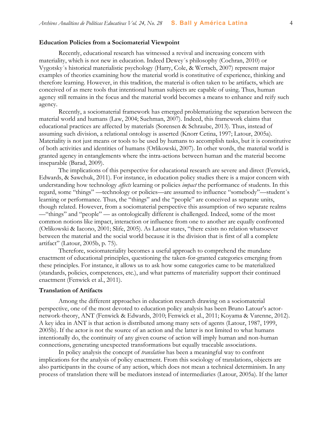#### **Education Policies from a Sociomaterial Viewpoint**

Recently, educational research has witnessed a revival and increasing concern with materiality, which is not new in education. Indeed Dewey´s philosophy (Cochran, 2010) or Vygotsky´s historical materialistic psychology (Harry, Cole, & Wertsch, 2007) represent major examples of theories examining how the material world is constitutive of experience, thinking and therefore learning. However, in this tradition, the material is often taken to be artifacts, which are conceived of as mere tools that intentional human subjects are capable of using. Thus, human agency still remains in the focus and the material world becomes a means to enhance and reify such agency.

Recently, a sociomaterial framework has emerged problematizing the separation between the material world and humans (Law, 2004; Suchman, 2007). Indeed, this framework claims that educational practices are affected by materials (Sorensen & Schraube, 2013). Thus, instead of assuming such division, a relational ontology is asserted (Knorr Cetina, 1997; Latour, 2005a). Materiality is not just means or tools to be used by humans to accomplish tasks, but it is constitutive of both activities and identities of humans (Orlikowski, 2007). In other words, the material world is granted agency in entanglements where the intra-actions between human and the material become inseparable (Barad, 2009).

The implications of this perspective for educational research are severe and direct (Fenwick, Edwards, & Sawchuk, 2011). For instance, in education policy studies there is a major concern with understanding how technology *affects* learning or policies *impact* the performance of students. In this regard, some "things" —technology or policies—are assumed to influence "somebody"—student´s learning or performance. Thus, the "things" and the "people" are conceived as separate units, though related. However, from a sociomaterial perspective this assumption of two separate realms —"things" and "people" — as ontologically different is challenged. Indeed, some of the most common notions like impact, interaction or influence from one to another are equally confronted (Orlikowski & Iacono, 2001; Slife, 2005). As Latour states, "there exists no relation whatsoever between the material and the social world because it is the division that is first of all a complete artifact" (Latour, 2005b, p. 75).

Therefore, sociomateriality becomes a useful approach to comprehend the mundane enactment of educational principles, questioning the taken-for-granted categories emerging from these principles. For instance, it allows us to ask how some categories came to be materialized (standards, policies, competences, etc.), and what patterns of materiality support their continued enactment (Fenwick et al., 2011).

#### **Translation of Artifacts**

Among the different approaches in education research drawing on a sociomaterial perspective, one of the most devoted to education policy analysis has been Bruno Latour's actornetwork-theory, ANT (Fenwick & Edwards, 2010; Fenwick et al., 2011; Koyama & Varenne, 2012). A key idea in ANT is that action is distributed among many sets of agents (Latour, 1987, 1999, 2005b). If the actor is not the source of an action and the latter is not limited to what humans intentionally do, the continuity of any given course of action will imply human and non-human connections, generating unexpected transformations but equally traceable associations.

In policy analysis the concept of *translation* has been a meaningful way to confront implications for the analysis of policy enactment. From this sociology of translations, objects are also participants in the course of any action, which does not mean a technical determinism. In any process of translation there will be mediators instead of intermediaries (Latour, 2005a). If the latter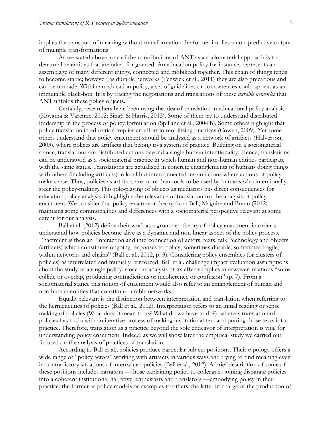implies the transport of meaning without transformation the former implies a non-predictive output of multiple transformations.

As we stated above, one of the contributions of ANT as a sociomaterial approach is to denaturalize entities that are taken for granted. An education policy for instance, represents an assemblage of many different things, connected and mobilized together. This chain of things tends to become stable; however, as durable networks (Fenwick et al., 2011) they are also precarious and can be unmade. Within an education policy, a set of guidelines or competences could appear as an immutable black-box. It is by tracing the negotiations and translations of these *durable networks* that ANT unfolds these policy objects.

Certainly, researchers have been using the idea of translation in educational policy analysis (Koyama & Varenne, 2012; Singh & Harris, 2013). Some of them try to understand distributed leadership in the process of policy formulation (Spillane et al., 2004 b). Some others highlight that policy translation in education implies an effort in mobilizing practices (Cowen, 2009). Yet some others understand that policy enactment should be analyzed as a network of artifacts (Halverson, 2003), where polices are artifacts that belong to a system of practice. Building on a sociomaterial stance, translations are distributed actions beyond a single human intentionality. Hence, translations can be understood as a sociomaterial practice in which human and non-human entities participate with the same status. Translations are actualized in concrete entanglements of humans doing things with others (including artifacts) in local but interconnected instantiations where actions of policy make sense. Thus, policies as artifacts are more than tools to be used by humans who intentionally steer the policy-making. This role-playing of objects as mediators has direct consequences for education policy analysis; it highlights the relevance of translation for the analysis of policy enactment. We consider that policy enactment theory from Ball, Maguire and Braun (2012) maintains some commonalities and differences with a sociomaterial perspective relevant at some extent for our analysis.

Ball et al. (2012) define their work as a grounded theory of policy enactment in order to understand how policies become alive as a dynamic and non-linear aspect of the policy process. Enactment is then an "interaction and interconnection of actors, texts, talk, technology and objects (artifacts) which constitutes ongoing responses to policy, sometimes durable, sometimes fragile, within networks and chains" (Ball et al., 2012, p. 3). Considering policy ensembles (or clusters of policies) as interrelated and mutually reinforced, Ball et al. challenge impact evaluation assumptions about the study of a single policy; since the analysis of its effects implies interwoven relations "some collide or overlap, producing contradictions or incoherence or confusion" (p. 7). From a sociomaterial stance this notion of enactment would also refer to an entanglement of human and non-human entities that constitute durable networks.

Equally relevant is the distinction between interpretation and translation when referring to the hermeneutics of policies (Ball et al., 2012). Interpretation refers to an initial reading or sense making of policies (What does it mean to us? What do we have to do?), whereas translation of policies has to do with an iterative process of making institutional text and putting those texts into practice. Therefore, translation as a practice beyond the sole endeavor of interpretation is vital for understanding policy enactment. Indeed, as we will show later the empirical study we carried out focused on the analysis of practices of translation.

According to Ball et al., policies produce particular subject positions. Their typology offers a wide range of "policy actors" working with artifacts in various ways and trying to find meaning even in contradictory situations of intertwined policies (Ball et al., 2012). A brief description of some of these positions includes narrators —those explaining policy to colleagues joining disparate policies into a coherent institutional narrative; enthusiasts and translators —embodying policy in their practice: the former as policy models or examples to others, the latter in charge of the production of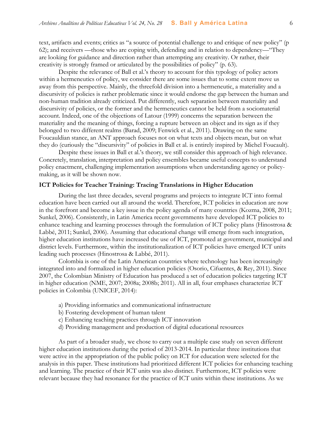text, artifacts and events; critics as "a source of potential challenge to and critique of new policy" (p 62); and receivers —those who are coping with, defending and in relation to dependency—"They are looking for guidance and direction rather than attempting any creativity. Or rather, their creativity is strongly framed or articulated by the possibilities of policy" (p. 63).

Despite the relevance of Ball et al.'s theory to account for this typology of policy actors within a hermeneutics of policy, we consider there are some issues that to some extent move us away from this perspective. Mainly, the threefold division into a hermeneutic, a materiality and a discursivity of policies is rather problematic since it would endorse the gap between the human and non-human tradition already criticized. Put differently, such separation between materiality and discursivity of policies, or the former and the hermeneutics cannot be held from a sociomaterial account. Indeed, one of the objections of Latour (1999) concerns the separation between the materiality and the meaning of things, forcing a rupture between an object and its sign as if they belonged to two different realms (Barad, 2009; Fenwick et al., 2011). Drawing on the same Foucauldian stance, an ANT approach focuses not on what texts and objects mean, but on what they do (curiously the "discursivity" of policies in Ball et al. is entirely inspired by Michel Foucault).

Despite these issues in Ball et al.'s theory, we still consider this approach of high relevance. Concretely, translation, interpretation and policy ensembles became useful concepts to understand policy enactment, challenging implementation assumptions when understanding agency or policymaking, as it will be shown now.

#### **ICT Policies for Teacher Training: Tracing Translations in Higher Education**

During the last three decades, several programs and projects to integrate ICT into formal education have been carried out all around the world. Therefore, ICT policies in education are now in the forefront and become a key issue in the policy agenda of many countries (Kozma, 2008, 2011; Sunkel, 2006). Consistently, in Latin America recent governments have developed ICT policies to enhance teaching and learning processes through the formulation of ICT policy plans (Hinostrosa & Labbé, 2011; Sunkel, 2006). Assuming that educational change will emerge from such integration, higher education institutions have increased the use of ICT, promoted at government, municipal and district levels. Furthermore, within the institutionalization of ICT policies have emerged ICT units leading such processes (Hinostrosa & Labbé, 2011).

Colombia is one of the Latin American countries where technology has been increasingly integrated into and formalized in higher education policies (Osorio, Cifuentes, & Rey, 2011). Since 2007, the Colombian Ministry of Education has produced a set of education policies targeting ICT in higher education (NME, 2007; 2008a; 2008b; 2011). All in all, four emphases characterize ICT policies in Colombia (UNICEF, 2014):

- a) Providing informatics and communicational infrastructure
- b) Fostering development of human talent
- c) Enhancing teaching practices through ICT innovation
- d) Providing management and production of digital educational resources

As part of a broader study, we chose to carry out a multiple case study on seven different higher education institutions during the period of 2013-2014. In particular three institutions that were active in the appropriation of the public policy on ICT for education were selected for the analysis in this paper. These institutions had prioritized different ICT policies for enhancing teaching and learning. The practice of their ICT units was also distinct. Furthermore, ICT policies were relevant because they had resonance for the practice of ICT units within these institutions. As we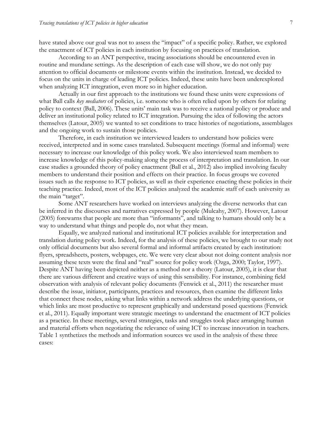have stated above our goal was not to assess the "impact" of a specific policy. Rather, we explored the enactment of ICT policies in each institution by focusing on practices of translation.

According to an ANT perspective, tracing associations should be encountered even in routine and mundane settings. As the description of each case will show, we do not only pay attention to official documents or milestone events within the institution. Instead, we decided to focus on the units in charge of leading ICT policies. Indeed, these units have been underexplored when analyzing ICT integration, even more so in higher education.

Actually in our first approach to the institutions we found these units were expressions of what Ball calls *key mediators* of policies, i.e. someone who is often relied upon by others for relating policy to context (Ball, 2006). These units' main task was to receive a national policy or produce and deliver an institutional policy related to ICT integration. Pursuing the idea of following the actors themselves (Latour, 2005) we wanted to set conditions to trace histories of negotiations, assemblages and the ongoing work to sustain those policies.

Therefore, in each institution we interviewed leaders to understand how policies were received, interpreted and in some cases translated. Subsequent meetings (formal and informal) were necessary to increase our knowledge of this policy work. We also interviewed team members to increase knowledge of this policy-making along the process of interpretation and translation. In our case studies a grounded theory of policy enactment (Ball et al., 2012) also implied involving faculty members to understand their position and effects on their practice. In focus groups we covered issues such as the response to ICT policies, as well as their experience enacting these policies in their teaching practice. Indeed, most of the ICT policies analyzed the academic staff of each university as the main "target".

Some ANT researchers have worked on interviews analyzing the diverse networks that can be inferred in the discourses and narratives expressed by people (Mulcahy, 2007). However, Latour (2005) forewarns that people are more than "informants", and talking to humans should only be a way to understand what things and people do, not what they mean.

Equally, we analyzed national and institutional ICT policies available for interpretation and translation during policy work. Indeed, for the analysis of these policies, we brought to our study not only official documents but also several formal and informal artifacts created by each institution: flyers, spreadsheets, posters, webpages, etc. We were very clear about not doing content analysis nor assuming these texts were the final and "real" source for policy work (Ozga, 2000; Taylor, 1997). Despite ANT having been depicted neither as a method nor a theory (Latour, 2005), it is clear that there are various different and creative ways of using this sensibility. For instance, combining field observation with analysis of relevant policy documents (Fenwick et al., 2011) the researcher must describe the issue, initiator, participants, practices and resources, then examine the different links that connect these nodes, asking what links within a network address the underlying questions, or which links are most productive to represent graphically and understand posed questions (Fenwick et al., 2011). Equally important were strategic meetings to understand the enactment of ICT policies as a practice. In these meetings, several strategies, tasks and struggles took place arranging human and material efforts when negotiating the relevance of using ICT to increase innovation in teachers. Table 1 synthetizes the methods and information sources we used in the analysis of these three cases: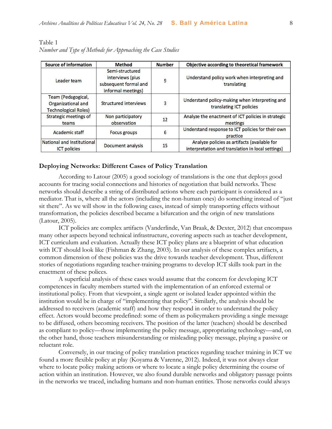| Source of information                                                   | Method                                                                             | Number | Objective according to theoretical framework                                                      |
|-------------------------------------------------------------------------|------------------------------------------------------------------------------------|--------|---------------------------------------------------------------------------------------------------|
| Leader team                                                             | Semi-structured<br>interviews (plus<br>subsequent formal and<br>informal meetings) | 9      | Understand policy work when interpreting and<br>translating                                       |
| Team (Pedagogical,<br>Organizational and<br><b>Technological Roles)</b> | Structured interviews                                                              | 3      | Understand policy-making when interpreting and<br>translating ICT policies                        |
| Strategic meetings of<br>teams                                          | Non participatory<br>observation                                                   | 12     | Analyze the enactment of ICT policies in strategic<br>meetings                                    |
| Academic staff                                                          | <b>Focus groups</b>                                                                | 6      | Understand response to ICT policies for their own<br>practice                                     |
| National and Institutional<br><b>ICT</b> policies                       | Document analysis                                                                  | 15     | Analyze policies as artifacts (available for<br>interpretation and translation in local settings) |

#### Table 1 *Number and Type of Methods for Approaching the Case Studies*

#### **Deploying Networks: Different Cases of Policy Translation**

According to Latour (2005) a good sociology of translations is the one that deploys good accounts for tracing social connections and histories of negotiation that build networks. These networks should describe a string of distributed actions where each participant is considered as a mediator. That is, where all the actors (including the non-human ones) do something instead of "just sit there". As we will show in the following cases, instead of simply transporting effects without transformation, the policies described became a bifurcation and the origin of new translations (Latour, 2005).

ICT policies are complex artifacts (Vanderlinde, Van Braak, & Dexter, 2012) that encompass many other aspects beyond technical infrastructure, covering aspects such as teacher development, ICT curriculum and evaluation. Actually these ICT policy plans are a blueprint of what education with ICT should look like (Fishman & Zhang, 2003). In our analysis of these complex artifacts, a common dimension of these policies was the drive towards teacher development. Thus, different stories of negotiations regarding teacher-training programs to develop ICT skills took part in the enactment of these polices.

A superficial analysis of these cases would assume that the concern for developing ICT competences in faculty members started with the implementation of an enforced external or institutional policy. From that viewpoint, a single agent or isolated leader appointed within the institution would be in charge of "implementing that policy". Similarly, the analysis should be addressed to receivers (academic staff) and how they respond in order to understand the policy effect. Actors would become predefined: some of them as policymakers providing a single message to be diffused, others becoming receivers. The position of the latter (teachers) should be described as compliant to policy—those implementing the policy message, appropriating technology—and, on the other hand, those teachers misunderstanding or misleading policy message, playing a passive or reluctant role.

Conversely, in our tracing of policy translation practices regarding teacher training in ICT we found a more flexible policy at play (Koyama & Varenne, 2012). Indeed, it was not always clear where to locate policy making actions or where to locate a single policy determining the course of action within an institution. However, we also found durable networks and obligatory passage points in the networks we traced, including humans and non-human entities. Those networks could always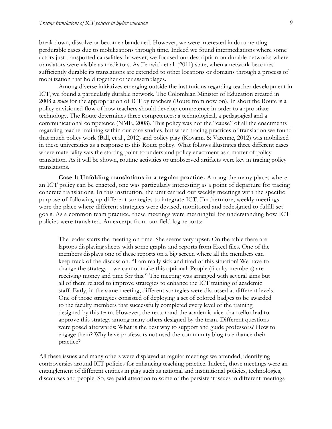break down, dissolve or become abandoned. However, we were interested in documenting perdurable cases due to mobilizations through time. Indeed we found intermediations where some actors just transported causalities; however, we focused our description on durable networks where translators were visible as mediators. As Fenwick et al. (2011) state, when a network becomes sufficiently durable its translations are extended to other locations or domains through a process of mobilization that hold together other assemblages.

Among diverse initiatives emerging outside the institutions regarding teacher development in ICT, we found a particularly durable network. The Colombian Minister of Education created in 2008 a *route* for the appropriation of ICT by teachers (Route from now on). In short the Route is a policy envisioned flow of how teachers should develop competence in order to appropriate technology. The Route determines three competences: a technological, a pedagogical and a communicational competence (NME, 2008). This policy was not the "cause" of all the enactments regarding teacher training within our case studies, but when tracing practices of translation we found that much policy work (Ball, et al., 2012) and policy play (Koyama & Varenne, 2012) was mobilized in these universities as a response to this Route policy. What follows illustrates three different cases where materiality was the starting point to understand policy enactment as a matter of policy translation. As it will be shown, routine activities or unobserved artifacts were key in tracing policy translations.

**Case 1: Unfolding translations in a regular practice.** Among the many places where an ICT policy can be enacted, one was particularly interesting as a point of departure for tracing concrete translations. In this institution, the unit carried out weekly meetings with the specific purpose of following up different strategies to integrate ICT. Furthermore, weekly meetings were the place where different strategies were devised, monitored and redesigned to fulfill set goals. As a common team practice, these meetings were meaningful for understanding how ICT policies were translated. An excerpt from our field log reports:

The leader starts the meeting on time. She seems very upset. On the table there are laptops displaying sheets with some graphs and reports from Excel files. One of the members displays one of these reports on a big screen where all the members can keep track of the discussion. "I am really sick and tired of this situation! We have to change the strategy…we cannot make this optional. People (faculty members) are receiving money and time for this." The meeting was arranged with several aims but all of them related to improve strategies to enhance the ICT training of academic staff. Early, in the same meeting, different strategies were discussed at different levels. One of those strategies consisted of deploying a set of colored badges to be awarded to the faculty members that successfully completed every level of the training designed by this team. However, the rector and the academic vice-chancellor had to approve this strategy among many others designed by the team. Different questions were posed afterwards: What is the best way to support and guide professors? How to engage them? Why have professors not used the community blog to enhance their practice?

All these issues and many others were displayed at regular meetings we attended, identifying controversies around ICT policies for enhancing teaching practice. Indeed, those meetings were an entanglement of different entities in play such as national and institutional policies, technologies, discourses and people. So, we paid attention to some of the persistent issues in different meetings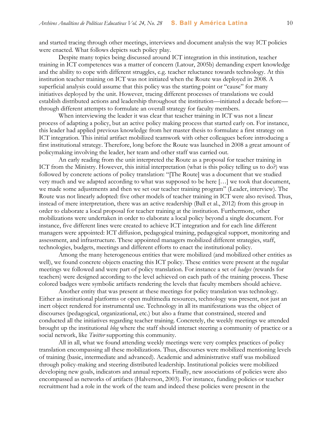and started tracing through other meetings, interviews and document analysis the way ICT policies were enacted. What follows depicts such policy play.

Despite many topics being discussed around ICT integration in this institution, teacher training in ICT competences was a matter of concern (Latour, 2005b) demanding expert knowledge and the ability to cope with different struggles, e.g. teacher reluctance towards technology. At this institution teacher training on ICT was not initiated when the Route was deployed in 2008. A superficial analysis could assume that this policy was the starting point or "cause" for many initiatives deployed by the unit. However, tracing different processes of translations we could establish distributed actions and leadership throughout the institution—initiated a decade before through different attempts to formulate an overall strategy for faculty members.

When interviewing the leader it was clear that teacher training in ICT was not a linear process of adapting a policy, but an active policy making process that started early on. For instance, this leader had applied previous knowledge from her master thesis to formulate a first strategy on ICT integration. This initial artifact mobilized teamwork with other colleagues before introducing a first institutional strategy. Therefore, long before the Route was launched in 2008 a great amount of policymaking involving the leader, her team and other staff was carried out.

An early reading from the unit interpreted the Route as a proposal for teacher training in ICT from the Ministry. However, this initial interpretation (what is this policy telling us to do?) was followed by concrete actions of policy translation: "[The Route] was a document that we studied very much and we adapted according to what was supposed to be here […] we took that document, we made some adjustments and then we set our teacher training program" (Leader, interview). The Route was not linearly adopted: five other models of teacher training in ICT were also revised. Thus, instead of mere interpretation, there was an active readership (Ball et al., 2012) from this group in order to elaborate a local proposal for teacher training at the institution. Furthermore, other mobilizations were undertaken in order to elaborate a local policy beyond a single document. For instance, five different lines were created to achieve ICT integration and for each line different managers were appointed: ICT diffusion, pedagogical training, pedagogical support, monitoring and assessment, and infrastructure. These appointed managers mobilized different strategies, staff, technologies, budgets, meetings and different efforts to enact the institutional policy.

Among the many heterogeneous entities that were mobilized (and mobilized other entities as well), we found concrete objects enacting this ICT policy. These entities were present at the regular meetings we followed and were part of policy translation. For instance a set of *badges* (rewards for teachers) were designed according to the level achieved on each path of the training process. These colored badges were symbolic artifacts rendering the levels that faculty members should achieve.

Another entity that was present at these meetings for policy translation was technology. Either as institutional platforms or open multimedia resources, technology was present, not just an inert object rendered for instrumental use. Technology in all its manifestations was the object of discourses (pedagogical, organizational, etc.) but also a frame that constrained, steered and conducted all the initiatives regarding teacher training. Concretely, the weekly meetings we attended brought up the institutional *blog* where the staff should interact steering a community of practice or a social network, like *Twitter* supporting this community.

All in all, what we found attending weekly meetings were very complex practices of policy translation encompassing all these mobilizations. Thus, discourses were mobilized mentioning levels of training (basic, intermediate and advanced). Academic and administrative staff was mobilized through policy-making and steering distributed leadership. Institutional policies were mobilized developing new goals, indicators and annual reports. Finally, new associations of policies were also encompassed as networks of artifacts (Halverson, 2003). For instance, funding policies or teacher recruitment had a role in the work of the team and indeed these policies were present in the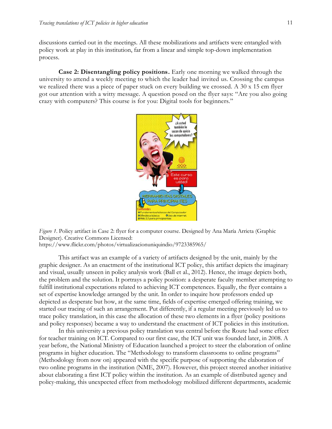discussions carried out in the meetings. All these mobilizations and artifacts were entangled with policy work at play in this institution, far from a linear and simple top-down implementation process.

**Case 2: Disentangling policy positions.** Early one morning we walked through the university to attend a weekly meeting to which the leader had invited us. Crossing the campus we realized there was a piece of paper stuck on every building we crossed. A 30 x 15 cm flyer got our attention with a witty message. A question posed on the flyer says: "Are you also going crazy with computers? This course is for you: Digital tools for beginners."



*Figure 1*. Policy artifact in Case 2: flyer for a computer course. Designed by Ana María Arrieta (Graphic Designer). Creative Commons Licensed: https://www.flickr.com/photos/virtualizacionuniquindio/9723385965/

This artifact was an example of a variety of artifacts designed by the unit, mainly by the graphic designer. As an enactment of the institutional ICT policy, this artifact depicts the imaginary and visual, usually unseen in policy analysis work (Ball et al., 2012). Hence, the image depicts both, the problem and the solution. It portrays a policy position: a desperate faculty member attempting to fulfill institutional expectations related to achieving ICT competences. Equally, the flyer contains a set of expertise knowledge arranged by the unit. In order to inquire how professors ended up depicted as desperate but how, at the same time, fields of expertise emerged offering training, we started our tracing of such an arrangement. Put differently, if a regular meeting previously led us to trace policy translation, in this case the allocation of these two elements in a flyer (policy positions and policy responses) became a way to understand the enactment of ICT policies in this institution.

In this university a previous policy translation was central before the Route had some effect for teacher training on ICT. Compared to our first case, the ICT unit was founded later, in 2008. A year before, the National Ministry of Education launched a project to steer the elaboration of online programs in higher education. The "Methodology to transform classrooms to online programs" (Methodology from now on) appeared with the specific purpose of supporting the elaboration of two online programs in the institution (NME, 2007). However, this project steered another initiative about elaborating a first ICT policy within the institution. As an example of distributed agency and policy-making, this unexpected effect from methodology mobilized different departments, academic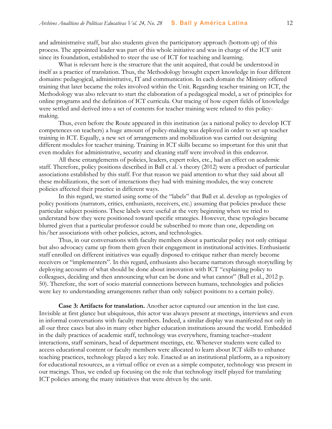and administrative staff, but also students given the participatory approach (bottom-up) of this process. The appointed leader was part of this whole initiative and was in charge of the ICT unit since its foundation, established to steer the use of ICT for teaching and learning.

What is relevant here is the structure that the unit acquired, that could be understood in itself as a practice of translation. Thus, the Methodology brought expert knowledge in four different domains: pedagogical, administrative, IT and communication. In each domain the Ministry offered training that later became the roles involved within the Unit. Regarding teacher training on ICT, the Methodology was also relevant to start the elaboration of a pedagogical model, a set of principles for online programs and the definition of ICT curricula. Our tracing of how expert fields of knowledge were settled and derived into a set of contents for teacher training were related to this policymaking.

Thus, even before the Route appeared in this institution (as a national policy to develop ICT competences on teachers) a huge amount of policy-making was deployed in order to set up teacher training in ICT. Equally, a new set of arrangements and mobilization was carried out designing different modules for teacher training. Training in ICT skills became so important for this unit that even modules for administrative, security and cleaning staff were involved in this endeavor.

All these entanglements of policies, leaders, expert roles, etc., had an effect on academic staff. Therefore, policy positions described in Ball et al.´s theory (2012) were a product of particular associations established by this staff. For that reason we paid attention to what they said about all these mobilizations, the sort of interactions they had with training modules, the way concrete policies affected their practice in different ways.

In this regard, we started using some of the "labels" that Ball et al. develop as typologies of policy positions (narrators, critics, enthusiasts, receivers, etc.) assuming that policies produce these particular subject positions. These labels were useful at the very beginning when we tried to understand how they were positioned toward specific strategies. However, these typologies became blurred given that a particular professor could be subscribed to more than one, depending on his/her associations with other policies, actors, and technologies.

Thus, in our conversations with faculty members about a particular policy not only critique but also advocacy came up from them given their engagement in institutional activities. Enthusiastic staff enrolled on different initiatives was equally disposed to critique rather than merely become receivers or "implementers". In this regard, enthusiasts also became narrators through storytelling by deploying accounts of what should be done about innovation with ICT "explaining policy to colleagues, deciding and then announcing what can be done and what cannot" (Ball et al., 2012 p. 50). Therefore, the sort of socio material connections between humans, technologies and policies were key to understanding arrangements rather than only subject positions to a certain policy.

**Case 3: Artifacts for translation.** Another actor captured our attention in the last case. Invisible at first glance but ubiquitous, this actor was always present at meetings, interviews and even in informal conversations with faculty members. Indeed, a similar display was manifested not only in all our three cases but also in many other higher education institutions around the world. Embedded in the daily practices of academic staff, technology was everywhere, framing teacher–student interactions, staff seminars, head of department meetings, etc. Whenever students were called to access educational content or faculty members were allocated to learn about ICT skills to enhance teaching practices, technology played a key role. Enacted as an institutional platform, as a repository for educational resources, as a virtual office or even as a simple computer, technology was present in our tracings. Thus, we ended up focusing on the role that technology itself played for translating ICT policies among the many initiatives that were driven by the unit.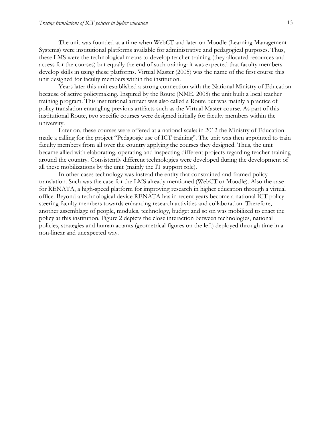The unit was founded at a time when WebCT and later on Moodle (Learning Management Systems) were institutional platforms available for administrative and pedagogical purposes. Thus, these LMS were the technological means to develop teacher training (they allocated resources and access for the courses) but equally the end of such training: it was expected that faculty members develop skills in using these platforms. Virtual Master (2005) was the name of the first course this unit designed for faculty members within the institution.

Years later this unit established a strong connection with the National Ministry of Education because of active policymaking. Inspired by the Route (NME, 2008) the unit built a local teacher training program. This institutional artifact was also called a Route but was mainly a practice of policy translation entangling previous artifacts such as the Virtual Master course. As part of this institutional Route, two specific courses were designed initially for faculty members within the university.

Later on, these courses were offered at a national scale: in 2012 the Ministry of Education made a calling for the project "Pedagogic use of ICT training". The unit was then appointed to train faculty members from all over the country applying the courses they designed. Thus, the unit became allied with elaborating, operating and inspecting different projects regarding teacher training around the country. Consistently different technologies were developed during the development of all these mobilizations by the unit (mainly the IT support role).

In other cases technology was instead the entity that constrained and framed policy translation. Such was the case for the LMS already mentioned (WebCT or Moodle). Also the case for RENATA, a high-speed platform for improving research in higher education through a virtual office. Beyond a technological device RENATA has in recent years become a national ICT policy steering faculty members towards enhancing research activities and collaboration. Therefore, another assemblage of people, modules, technology, budget and so on was mobilized to enact the policy at this institution. Figure 2 depicts the close interaction between technologies, national policies, strategies and human actants (geometrical figures on the left) deployed through time in a non-linear and unexpected way.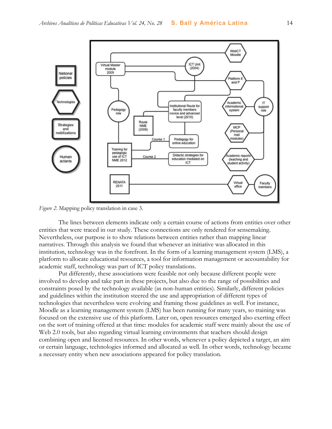

*Figure 2*. Mapping policy translation in case 3.

The lines between elements indicate only a certain course of actions from entities over other entities that were traced in our study. These connections are only rendered for sensemaking. Nevertheless, our purpose is to show relations between entities rather than mapping linear narratives. Through this analysis we found that whenever an initiative was allocated in this institution, technology was in the forefront. In the form of a learning management system (LMS), a platform to allocate educational resources, a tool for information management or accountability for academic staff, technology was part of ICT policy translations.

Put differently, these associations were feasible not only because different people were involved to develop and take part in these projects, but also due to the range of possibilities and constraints posed by the technology available (as non-human entities). Similarly, different policies and guidelines within the institution steered the use and appropriation of different types of technologies that nevertheless were evolving and framing those guidelines as well. For instance, Moodle as a learning management system (LMS) has been running for many years, so training was focused on the extensive use of this platform. Later on, open resources emerged also exerting effect on the sort of training offered at that time: modules for academic staff were mainly about the use of Web 2.0 tools, but also regarding virtual learning environments that teachers should design combining open and licensed resources. In other words, whenever a policy depicted a target, an aim or certain language, technologies informed and allocated as well. In other words, technology became a necessary entity when new associations appeared for policy translation.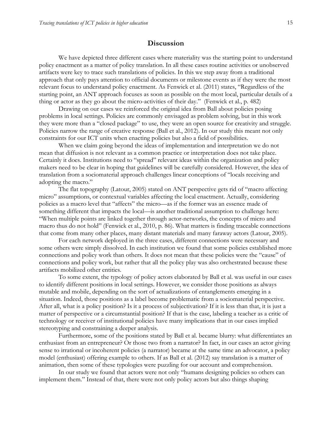#### **Discussion**

We have depicted three different cases where materiality was the starting point to understand policy enactment as a matter of policy translation. In all these cases routine activities or unobserved artifacts were key to trace such translations of policies. In this we step away from a traditional approach that only pays attention to official documents or milestone events as if they were the most relevant focus to understand policy enactment. As Fenwick et al. (2011) states, "Regardless of the starting point, an ANT approach focuses as soon as possible on the most local, particular details of a thing or actor as they go about the micro-activities of their day." (Fenwick et al., p. 482)

Drawing on our cases we reinforced the original idea from Ball about policies posing problems in local settings. Policies are commonly envisaged as problem solving, but in this work they were more than a "closed package" to use, they were an open source for creativity and struggle. Policies narrow the range of creative response (Ball et al., 2012). In our study this meant not only constraints for our ICT units when enacting policies but also a field of possibilities.

When we claim going beyond the ideas of implementation and interpretation we do not mean that diffusion is not relevant as a common practice or interpretation does not take place. Certainly it does. Institutions need to "spread" relevant ideas within the organization and policy makers need to be clear in hoping that guidelines will be carefully considered. However, the idea of translation from a sociomaterial approach challenges linear conceptions of "locals receiving and adopting the macro."

The flat topography (Latour, 2005) stated on ANT perspective gets rid of "macro affecting micro" assumptions, or contextual variables affecting the local enactment. Actually, considering policies as a macro level that "affects" the micro—as if the former was an essence made of something different that impacts the local—is another traditional assumption to challenge here: "When multiple points are linked together through actor-networks, the concepts of micro and macro thus do not hold" (Fenwick et al., 2010, p. 86). What matters is finding traceable connections that come from many other places, many distant materials and many faraway actors (Latour, 2005).

For each network deployed in the three cases, different connections were necessary and some others were simply dissolved. In each institution we found that some policies established more connections and policy work than others. It does not mean that these policies were the "cause" of connections and policy work, but rather that all the policy play was also orchestrated because these artifacts mobilized other entities.

To some extent, the typology of policy actors elaborated by Ball et al. was useful in our cases to identify different positions in local settings. However, we consider those positions as always mutable and mobile, depending on the sort of actualizations of entanglements emerging in a situation. Indeed, those positions as a label become problematic from a sociomaterial perspective. After all, what is a policy position? Is it a process of subjectivation? If it is less than that, it is just a matter of perspective or a circumstantial position? If that is the case, labeling a teacher as a critic of technology or receiver of institutional policies have many implications that in our cases implied stereotyping and constraining a deeper analysis.

Furthermore, some of the positions stated by Ball et al. became blurry: what differentiates an enthusiast from an entrepreneur? Or those two from a narrator? In fact, in our cases an actor giving sense to irrational or incoherent policies (a narrator) became at the same time an advocator, a policy model (enthusiast) offering example to others. If as Ball et al. (2012) say translation is a matter of animation, then some of these typologies were puzzling for our account and comprehension.

In our study we found that actors were not only "humans designing policies so others can implement them." Instead of that, there were not only policy actors but also things shaping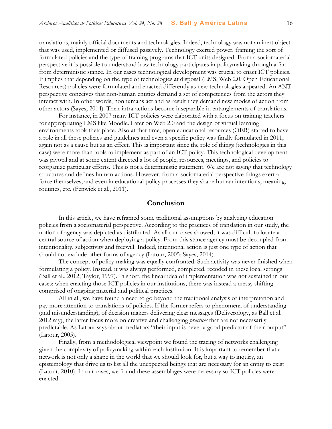translations, mainly official documents and technologies. Indeed, technology was not an inert object that was used, implemented or diffused passively. Technology exerted power, framing the sort of formulated policies and the type of training programs that ICT units designed. From a sociomaterial perspective it is possible to understand how technology participates in policymaking through a far from deterministic stance. In our cases technological development was crucial to enact ICT policies. It implies that depending on the type of technologies at disposal (LMS, Web 2.0, Open Educational Resources) policies were formulated and enacted differently as new technologies appeared. An ANT perspective conceives that non-human entities demand a set of competences from the actors they interact with. In other words, nonhumans act and as result they demand new modes of action from other actors (Sayes, 2014). Their intra-actions become inseparable in entanglements of translations.

For instance, in 2007 many ICT policies were elaborated with a focus on training teachers for appropriating LMS like Moodle. Later on Web 2.0 and the design of virtual learning environments took their place. Also at that time, open educational resources (OER) started to have a role in all these policies and guidelines and even a specific policy was finally formulated in 2011, again not as a cause but as an effect. This is important since the role of things (technologies in this case) were more than tools to implement as part of an ICT policy. This technological development was pivotal and at some extent directed a lot of people, resources, meetings, and policies to reorganize particular efforts. This is not a deterministic statement. We are not saying that technology structures and defines human actions. However, from a sociomaterial perspective things exert a force themselves, and even in educational policy processes they shape human intentions, meaning, routines, etc. (Fenwick et al., 2011).

#### **Conclusion**

In this article, we have reframed some traditional assumptions by analyzing education policies from a sociomaterial perspective. According to the practices of translation in our study, the notion of agency was depicted as distributed. As all our cases showed, it was difficult to locate a central source of action when deploying a policy. From this stance agency must be decoupled from intentionality, subjectivity and freewill. Indeed, intentional action is just one type of action that should not exclude other forms of agency (Latour, 2005; Sayes, 2014).

The concept of policy-making was equally confronted. Such activity was never finished when formulating a policy. Instead, it was always performed, completed, recoded in these local settings (Ball et al., 2012; Taylor, 1997). In short, the linear idea of implementation was not sustained in our cases: when enacting those ICT policies in our institutions, there was instead a messy shifting comprised of ongoing material and political practices.

All in all, we have found a need to go beyond the traditional analysis of interpretation and pay more attention to translations of policies. If the former refers to phenomena of understanding (and misunderstanding), of decision makers delivering clear messages (Deliverology, as Ball et al. 2012 say), the latter focus more on creative and challenging *practices* that are not necessarily predictable. As Latour says about mediators "their input is never a good predictor of their output" (Latour, 2005).

Finally, from a methodological viewpoint we found the tracing of networks challenging given the complexity of policymaking within each institution. It is important to remember that a network is not only a shape in the world that we should look for, but a way to inquiry, an epistemology that drive us to list all the unexpected beings that are necessary for an entity to exist (Latour, 2010). In our cases, we found these assemblages were necessary so ICT policies were enacted.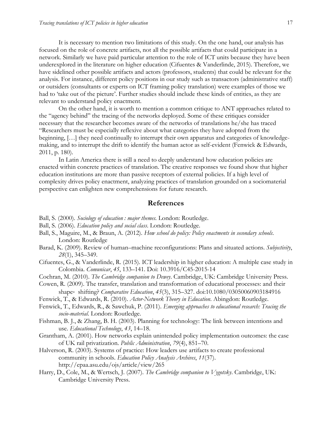It is necessary to mention two limitations of this study. On the one hand, our analysis has focused on the role of concrete artifacts, not all the possible artifacts that could participate in a network. Similarly we have paid particular attention to the role of ICT units because they have been underexplored in the literature on higher education (Cifuentes & Vanderlinde, 2015). Therefore, we have sidelined other possible artifacts and actors (professors, students) that could be relevant for the analysis. For instance, different policy positions in our study such as transactors (administrative staff) or outsiders (consultants or experts on ICT framing policy translation) were examples of those we had to 'take out of the picture'. Further studies should include these kinds of entities, as they are relevant to understand policy enactment.

On the other hand, it is worth to mention a common critique to ANT approaches related to the "agency behind" the tracing of the networks deployed. Some of these critiques consider necessary that the researcher becomes aware of the networks of translations he/she has traced "Researchers must be especially reflexive about what categories they have adopted from the beginning, […] they need continually to interrupt their own apparatus and categories of knowledgemaking, and to interrupt the drift to identify the human actor as self-evident (Fenwick & Edwards, 2011, p. 180).

In Latin America there is still a need to deeply understand how education policies are enacted within concrete practices of translation. The creative responses we found show that higher education institutions are more than passive receptors of external policies. If a high level of complexity drives policy enactment, analyzing practices of translation grounded on a sociomaterial perspective can enlighten new comprehensions for future research.

#### **References**

- Ball, S. (2000). *Sociology of education : major themes.* London: Routledge.
- Ball, S. (2006). *Education policy and social class*. London: Routledge.
- Ball, S., Maguire, M., & Braun, A. (2012). *How school do policy: Policy enactments in secondary schools*. London: Routledge
- Barad, K. (2009). Review of human–machine reconfigurations: Plans and situated actions. *Subjectivity*, *28*(1), 345–349.
- Cifuentes, G., & Vanderlinde, R. (2015). ICT leadership in higher education: A multiple case study in Colombia. *Comunicar*, *45*, 133–141. Doi: 10.3916/C45-2015-14
- Cochran, M. (2010). *The Cambridge companion to Dewey*. Cambridge, UK: Cambridge University Press.
- Cowen, R. (2009). The transfer, translation and transformation of educational processes: and their shape‐ shifting? *Comparative Education*, *45*(3), 315–327. doi:10.1080/03050060903184916
- Fenwick, T., & Edwards, R. (2010). *Actor-Network Theory in Education*. Abingdon: Routledge.
- Fenwick, T., Edwards, R., & Sawchuk, P. (2011). *Emerging approaches to educational research: Tracing the socio-material*. London: Routledge.
- Fishman, B. J., & Zhang, B. H. (2003). Planning for technology: The link between intentions and use. *Educational Technology*, *43*, 14–18.
- Grantham, A. (2001). How networks explain unintended policy implementation outcomes: the case of UK rail privatization. *Public Administration*, *79*(4), 851–70.
- Halverson, R. (2003). Systems of practice: How leaders use artifacts to create professional community in schools. *Education Policy Analysis Archives*, *11*(37). http://epaa.asu.edu/ojs/article/view/265
- Harry, D., Cole, M., & Wertsch, J. (2007). *The Cambridge companion to Vygotsky*. Cambridge, UK: Cambridge University Press.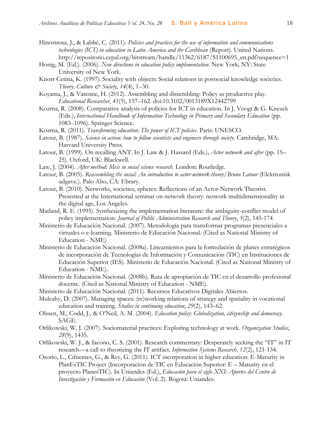- Hinostrosa, J., & Labbé, C. (2011). *Policies and practices for the use of information and communications technologies (ICT) in education in Latin America and the Caribbean* (Report). United Nations. http://repositorio.cepal.org/bitstream/handle/11362/6187/S1100695\_en.pdf?sequence=1
- Honig, M. (Ed.). (2006). *New directions in education policy implementation*. New York, NY: State University of New York.
- Knorr Cetina, K. (1997). Sociality with objects: Social relations in postsocial knowledge societies. *Theory, Culture & Society*, *14*(4), 1–30.
- Koyama, J., & Varenne, H. (2012). Assembling and dissembling: Policy as productive play. *Educational Researcher*, *41*(5), 157–162. doi:10.3102/0013189X12442799
- Kozma, R. (2008). Comparative analysis of policies for ICT in education. In J. Voogt & G. Knezek (Eds.), *International Handbook of Information Technology in Primary and Secondary Education* (pp. 1083–1096). Springer Science.
- Kozma, R. (2011). *Transforming education: The power of ICT policies*. Paris: UNESCO.
- Latour, B. (1987). *Science in action: how to follow scientists and engineers through society*. Cambridge, MA: Harvard University Press.
- Latour, B. (1999). On recalling ANT. In J. Law & J. Hassard (Eds.), *Actor network and after* (pp. 15– 25). Oxford, UK: Blackwell.
- Law, J. (2004). *After method: Mess in social science research*. London: Routledge.
- Latour, B. (2005). *Reassembling the social: An introduction to actor-network-theory/Bruno Latour* (Elektronisk udgave.). Palo Alto, CA: Ebrary.
- Latour, B. (2010). Networks, societies, spheres: Reflections of an Actor-Network Theorist. Presented at the International seminar on network theory: network multidimensionality in the digital age, Los Angeles.
- Matland, R. E. (1995). Synthesizing the implementation literature: the ambiguity-conflict model of policy implementation. *Journal of Public Administration Research and Theory*, *5*(2), 145-174.
- Ministerio de Educación Nacional. (2007). Metodología para transformar programas presenciales a virtuales o e-learning. Ministerio de Educación Nacional. (Cited as National Ministry of Education - NME)
- Ministerio de Educación Nacional. (2008a). Lineamientos para la formulación de planes estratégicos de incorporación de Tecnologías de Información y Comunicación (TIC) en Instituciones de Educación Superior (IES). Ministerio de Educación Nacional. (Cited as National Ministry of Education - NME).
- Ministerio de Educación Nacional. (2008b). Ruta de apropiación de TIC en el desarrollo profesional docente. (Cited as National Ministry of Education - NME).
- Ministerio de Educación Nacional. (2011). Recursos Educativos Digitales Abiertos.
- Mulcahy, D. (2007). Managing spaces: (re)working relations of strategy and spatiality in vocational education and training. *Studies in continuing education*, *29*(2), 143–62.
- Olssen, M., Codd, J., & O'Neil, A. M. (2004). *Education policy: Globalization, citizenship and democracy*. SAGE.
- Orlikowski, W. J. (2007). Sociomaterial practices: Exploring technology at work. *Organization Studies*, *28*(9), 1435.
- Orlikowski, W. J., & Iacono, C. S. (2001). Research commentary: Desperately seeking the "IT" in IT research—a call to theorizing the IT artifact. *Information Systems Research*, *12*(2), 121-134.
- Osorio, L., Cifuentes, G., & Rey, G. (2011). ICT incorporation in higher education: E-Maturity in PlanEsTIC Project (Incorporación de TIC en Educación Superior: E – Maturity en el proyecto PlanesTIC). In Uniandes (Ed.), *Educación para el siglo XXI: Aportes del Centro de Investigación y Formación en Educación* (Vol. 2). Bogotá: Uniandes.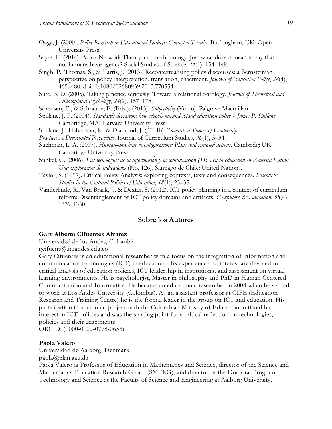- Ozga, J. (2000). *Policy Research in Educational Settings: Contested Terrain*. Buckingham, UK: Open University Press.
- Sayes, E. (2014). Actor-Network Theory and methodology: Just what does it mean to say that nonhumans have agency? Social Studies of Science, *44*(1), 134–149.
- Singh, P., Thomas, S., & Harris, J. (2013). Recontextualising policy discourses: a Bernsteinian perspective on policy interpretation, translation, enactment. *Journal of Education Policy*, *28*(4), 465–480. doi:10.1080/02680939.2013.770554
- Slife, B. D. (2005). Taking practice seriously: Toward a relational ontology. *Journal of Theoretical and Philosophical Psychology*, *24*(2), 157–178.
- Sorensen, E., & Schraube, E. (Eds.). (2013). *Subjectivity* (Vol. 6). Palgrave Macmillan.
- Spillane, J. P. (2004). *Standards deviation: how schools misunderstand education policy / James P. Spillane*. Cambridge, MA: Harvard University Press.
- Spillane, J., Halverson, R., & Diamond, J. (2004b). *Towards a Theory of Leadership*
- *Practice: A Distributed Perspective*. Journal of Curriculum Studies, *36*(1), 3–34.
- Suchman, L. A. (2007). *Human–machine reconfigurations: Plans and situated actions*. Cambridg: UK: Cambridge University Press.
- Sunkel, G. (2006). *Las tecnologías de la información y la comunicación (TIC) en la educación en América Latina. Una exploración de indicadores* (No. 126). Santiago de Chile: United Nations.
- Taylor, S. (1997). Critical Policy Analysis: exploring contexts, texts and consequences. *Discourse: Studies in the Cultural Politics of Education*, *18*(1), 23–35.
- Vanderlinde, R., Van Braak, J., & Dexter, S. (2012). ICT policy planning in a context of curriculum reform: Disentanglement of ICT policy domains and artifacts. *Computers & Education*, 58(4), 1339-1350.

#### **Sobre los Autores**

#### **Gary Alberto Cifuentes Álvarez**

Universidad de los Andes, Colombia

gcifuent@uniandes.edu.co

Gary Cifuentes is an educational researcher with a focus on the integration of information and communication technologies (ICT) in education. His experience and interest are devoted to critical analysis of education policies, ICT leadership in institutions, and assessment on virtual learning environments. He is psychologist, Master in philosophy and PhD in Human Centered Communication and Informatics. He became an educational researcher in 2004 when he started to work at Los Andes University (Colombia). As an assistant professor at CIFE (Education Research and Training Centre) he is the formal leader in the group on ICT and education. His participation in a national project with the Colombian Ministry of Education initiated his interest in ICT policies and was the starting point for a critical reflection on technologies, policies and their enactments.

ORCID: (0000-0002-0778-0658)

#### **Paola Valero**

Universidad de Aalborg, Denmark

paola@plan.aau.dk

Paola Valero is Professor of Education in Mathematics and Science, director of the Science and Mathematics Education Research Group (SMERG), and director of the Doctoral Program Technology and Science at the Faculty of Science and Engineering at Aalborg University,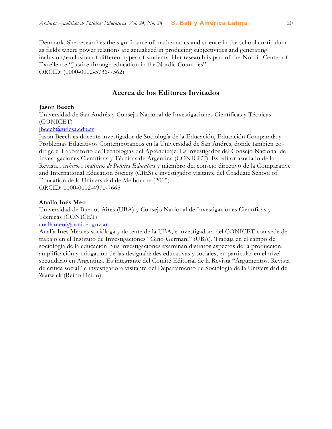Denmark. She researches the significance of mathematics and science in the school curriculum as fields where power relations are actualized in producing subjectivities and generating inclusion/exclusion of different types of students. Her research is part of the Nordic Center of Excellence "Justice through education in the Nordic Countries". ORCID: (0000-0002-5736-7562)

#### **Acerca de los Editores Invitados**

#### **Jason Beech**

Universidad de San Andrés y Consejo Nacional de Investigaciones Científicas y Técnicas (CONICET)

#### [jbeech@udesa.edu.ar](mailto:jbeech@udesa.edu.ar)

Jason Beech es docente investigador de Sociología de la Educación, Educación Comparada y Problemas Educativos Contemporáneos en la Universidad de San Andrés, donde también codirige el Laboratorio de Tecnologías del Aprendizaje. Es investigador del Consejo Nacional de Investigaciones Científicas y Técnicas de Argentina (CONICET). Es editor asociado de la Revista *Archivos Analíticos de Política Educativa* y miembro del consejo directivo de la Comparative and International Education Society (CIES) e investigador visitante del Graduate School of Education de la Universidad de Melbourne (2015).

ORCID: 0000-0002-4971-7665

#### **Analía Inés Meo**

Universidad de Buenos Aires (UBA) y Consejo Nacional de Investigaciones Científicas y Técnicas (CONICET)

#### [analiameo@conicet.gov.ar](mailto:analiameo@conicet.gov.ar)

Analía Inés Meo es socióloga y docente de la UBA, e investigadora del CONICET con sede de trabajo en el Instituto de Investigaciones "Gino Germani" (UBA). Trabaja en el campo de sociología de la educación. Sus investigaciones examinan distintos aspectos de la producción, amplificación y mitigación de las desigualdades educativas y sociales, en particular en el nivel secundario en Argentina. Es integrante del Comité Editorial de la Revista "Argumentos. Revista de crítica social" e investigadora visitante del Departamento de Sociología de la Universidad de Warwick (Reino Unido).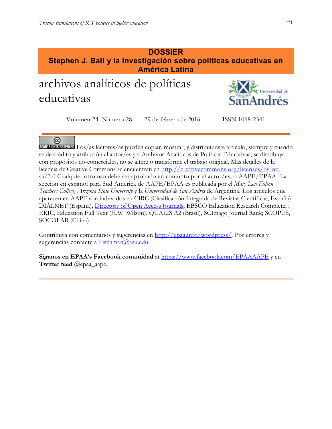#### **DOSSIER Stephen J. Ball y la investigación sobre políticas educativas en América Latina**

# archivos analíticos de políticas educativas



Volumen 24 Número 28 29 de febrero de 2016 ISSN 1068-2341

ල

SOMERIGHTS RESERVED Los/as lectores/as pueden copiar, mostrar, y distribuir este articulo, siempre y cuando se de crédito y atribución al autor/es y a Archivos Analíticos de Políticas Educativas, se distribuya con propósitos no-comerciales, no se altere o transforme el trabajo original. Más detalles de la licencia de Creative Commons se encuentran en http://creativecommons.org/licenses/by-ncsa/3.0 Cualquier otro uso debe ser aprobado en conjunto por el autor/es, o AAPE/EPAA. La sección en español para Sud América de AAPE/EPAA es publicada por el *Mary Lou Fulton Teachers College, Arizona State University* y la *Universidad de San Andrés* de Argentina. *L*os artículos que aparecen en AAPE son indexados en CIRC (Clasificación Integrada de Revistas Científicas, España) DIALNET (España), [Directory of Open Access Journals,](http://www.doaj.org/) EBSCO Education Research Complete, , ERIC, Education Full Text (H.W. Wilson), QUALIS A2 (Brasil), SCImago Journal Rank; SCOPUS, SOCOLAR (China)

Contribuya con comentarios y sugerencias en [http://epaa.info/wordpress/.](http://epaa.info/wordpress/) Por errores y sugerencias contacte a **Fischman@asu.edu** 

**Síganos en EPAA's Facebook comunidad** at<https://www.facebook.com/EPAAAAPE> y en **Twitter feed** *@epaa\_aape.*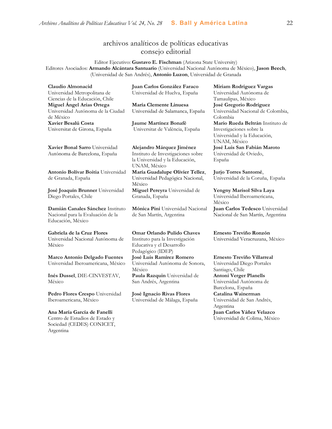#### archivos analíticos de políticas educativas consejo editorial

Editor Ejecutivo: **Gustavo E. Fischman** (Arizona State University) Editores Asociados: **Armando Alcántara Santuario** (Universidad Nacional Autónoma de México), **Jason Beech**, (Universidad de San Andrés), **Antonio Luzon**, Universidad de Granada

**Claudio Almonacid** Universidad Metropolitana de Ciencias de la Educación, Chile **Miguel Ángel Arias Ortega**  Universidad Autónoma de la Ciudad de México **Xavier Besalú Costa**  Universitat de Girona, España

**[Xavier Bonal](javascript:openRTWindow() Sarro** Universidad Autónoma de Barcelona, España

**[Antonio Bolívar](javascript:openRTWindow() Boitia** Universidad de Granada, España

**[José Joaquín Brunner](javascript:openRTWindow()** Universidad Diego Portales, Chile

**[Damián Canales Sánchez](javascript:openRTWindow()** Instituto Nacional para la Evaluación de la Educación, México

#### **Gabriela de la Cruz Flores** Universidad Nacional Autónoma de México

**[Marco Antonio Delgado Fuentes](javascript:openRTWindow()** Universidad Iberoamericana, México

**[Inés Dussel](javascript:openRTWindow()**, DIE-CINVESTAV, México

**[Pedro Flores Crespo](javascript:openRTWindow()** Universidad Iberoamericana, México

**Ana María García de Fanelli**  Centro de Estudios de Estado y Sociedad (CEDES) CONICET, Argentina

**Juan Carlos González Faraco**  Universidad de Huelva, España

**María Clemente Linuesa**  Universidad de Salamanca, España

**Jaume Martínez Bonafé** Universitat de València, España

**Alejandro Márquez Jiménez**  Instituto de Investigaciones sobre la Universidad y la Educación, UNAM, México **María Guadalupe Olivier Tellez**,

Universidad Pedagógica Nacional, México **[Miguel Pereyra](javascript:openRTWindow()** Universidad de Granada, España

**[Mónica Pini](javascript:openRTWindow()** Universidad Nacional de San Martín, Argentina

**Omar Orlando Pulido Chaves** Instituto para la Investigación Educativa y el Desarrollo Pedagógico (IDEP) **[José Luis Ramírez](javascript:openRTWindow() Romero** Universidad Autónoma de Sonora, México **[Paula Razquin](javascript:openRTWindow()** Universidad de San Andrés, Argentina

**José Ignacio Rivas Flores** Universidad de Málaga, España **[Miriam Rodríguez Vargas](javascript:openRTWindow()** Universidad Autónoma de Tamaulipas, México **José Gregorio Rodríguez**  Universidad Nacional de Colombia, Colombia **[Mario Rueda Beltrán](javascript:openRTWindow()** Instituto de Investigaciones sobre la Universidad y la Educación, UNAM, México **José Luis San Fabián Maroto**  Universidad de Oviedo, España

**[Jurjo Torres Santomé](javascript:openRTWindow()**, Universidad de la Coruña, España

**[Yengny Marisol Silva Laya](javascript:openRTWindow()** Universidad Iberoamericana, México

**Juan Carlos Tedesco** Universidad Nacional de San Martín, Argentina

**Ernesto Treviño Ronzón** Universidad Veracruzana, México

**[Ernesto Treviño](javascript:openRTWindow() Villarreal**

Universidad Diego Portales Santiago, Chile **[Antoni Verger Planells](javascript:openRTWindow()** Universidad Autónoma de Barcelona, España **[Catalina Wainerman](javascript:openRTWindow()** Universidad de San Andrés, Argentina **Juan Carlos Yáñez Velazco** Universidad de Colima, México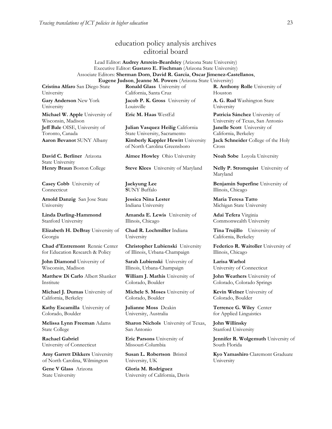#### education policy analysis archives editorial board

Lead Editor: **Audrey Amrein-Beardsley** (Arizona State University) Executive Editor: **Gustavo E. Fischman** (Arizona State University) Associate Editors: **Sherman Dorn**, **David R. Garcia**, **Oscar Jimenez-Castellanos**,

**Eugene Judson**, **Jeanne M. Powers** (Arizona State University)

**Cristina Alfaro** San Diego State University

**Gary Anderson** New York University

**Michael W. Apple** University of Wisconsin, Madison **Jeff Bale** OISE, University of Toronto, Canada **Aaron Bevanot** SUNY Albany **Kimberly Kappler Hewitt** University

**David C. Berliner** Arizona State University

**Casey Cobb** University of Connecticut

**Arnold Danzig** San Jose State University

**Linda Darling-Hammond**  Stanford University

**Elizabeth H. DeBray** University of Georgia

**Chad d'Entremont** Rennie Center for Education Research & Policy

**John Diamond** University of Wisconsin, Madison

**Matthew Di Carlo** Albert Shanker Institute

**Michael J. Dumas** University of California, Berkeley

**Kathy Escamilla** University of Colorado, Boulder

**Melissa Lynn Freeman** Adams State College

**Rachael Gabriel** University of Connecticut

**Amy Garrett Dikkers** University of North Carolina, Wilmington

**Gene V Glass** Arizona State University

**Ronald Glass** University of California, Santa Cruz

**Jacob P. K. Gross** University of Louisville

**Julian Vasquez Heilig** California State University, Sacramento

of North Carolina Greensboro

**Aimee Howley** Ohio University **Noah Sobe** Loyola University

**Henry Braun** Boston College **Steve Klees** University of Maryland **Nelly P. Stromquist** University of

**Jaekyung Lee S**UNY Buffalo

**Jessica Nina Lester** Indiana University

**Amanda E. Lewis** University of Illinois, Chicago

**Chad R. Lochmiller** Indiana University

**Christopher Lubienski** University of Illinois, Urbana-Champaign

**Sarah Lubienski** University of Illinois, Urbana-Champaign

**William J. Mathis** University of Colorado, Boulder

**Michele S. Moses** University of Colorado, Boulder

**Julianne Moss** Deakin University, Australia

**Sharon Nichols** University of Texas, San Antonio

**Eric Parsons** University of Missouri-Columbia

**Susan L. Robertson** Bristol University, UK

**Gloria M. Rodriguez** University of California, Davis **R. Anthony Rolle** University of Houston

**A. G. Rud** Washington State University

**Eric M. Haas** WestEd **Patricia Sánchez** University of University of Texas, San Antonio **Janelle Scott** University of California, Berkeley

**Jack Schneider** College of the Holy Cross

Maryland

**Benjamin Superfine** University of Illinois, Chicago

**Maria Teresa Tatto**  Michigan State University

**Adai Tefera** Virginia Commonwealth University

**Tina Trujillo** University of California, Berkeley

**Federico R. Waitoller** University of Illinois, Chicago

**Larisa Warhol** University of Connecticut

**John Weathers** University of Colorado, Colorado Springs

**Kevin Welner** University of Colorado, Boulder

**Terrence G. Wiley** Center for Applied Linguistics

**John Willinsky**  Stanford University

**Jennifer R. Wolgemuth** University of South Florida

**Kyo Yamashiro** Claremont Graduate University